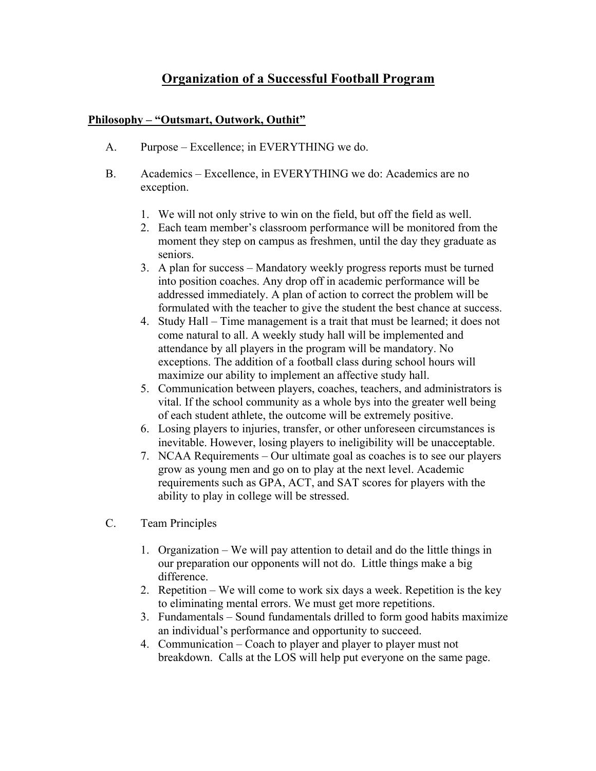## **Organization of a Successful Football Program**

## **Philosophy – "Outsmart, Outwork, Outhit"**

- A. Purpose Excellence; in EVERYTHING we do.
- B. Academics Excellence, in EVERYTHING we do: Academics are no exception.
	- 1. We will not only strive to win on the field, but off the field as well.
	- 2. Each team member's classroom performance will be monitored from the moment they step on campus as freshmen, until the day they graduate as seniors.
	- 3. A plan for success Mandatory weekly progress reports must be turned into position coaches. Any drop off in academic performance will be addressed immediately. A plan of action to correct the problem will be formulated with the teacher to give the student the best chance at success.
	- 4. Study Hall Time management is a trait that must be learned; it does not come natural to all. A weekly study hall will be implemented and attendance by all players in the program will be mandatory. No exceptions. The addition of a football class during school hours will maximize our ability to implement an affective study hall.
	- 5. Communication between players, coaches, teachers, and administrators is vital. If the school community as a whole bys into the greater well being of each student athlete, the outcome will be extremely positive.
	- 6. Losing players to injuries, transfer, or other unforeseen circumstances is inevitable. However, losing players to ineligibility will be unacceptable.
	- 7. NCAA Requirements Our ultimate goal as coaches is to see our players grow as young men and go on to play at the next level. Academic requirements such as GPA, ACT, and SAT scores for players with the ability to play in college will be stressed.
- C. Team Principles
	- 1. Organization We will pay attention to detail and do the little things in our preparation our opponents will not do. Little things make a big difference.
	- 2. Repetition We will come to work six days a week. Repetition is the key to eliminating mental errors. We must get more repetitions.
	- 3. Fundamentals Sound fundamentals drilled to form good habits maximize an individual's performance and opportunity to succeed.
	- 4. Communication Coach to player and player to player must not breakdown. Calls at the LOS will help put everyone on the same page.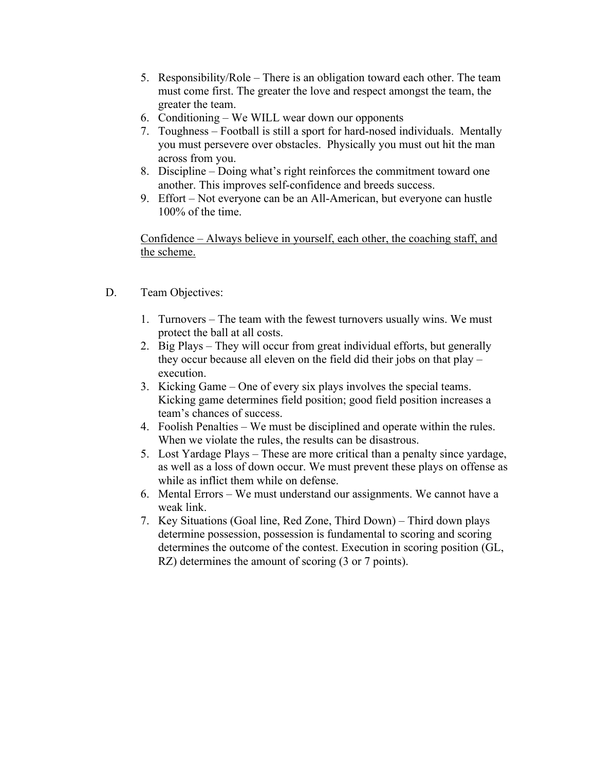- 5. Responsibility/Role There is an obligation toward each other. The team must come first. The greater the love and respect amongst the team, the greater the team.
- 6. Conditioning We WILL wear down our opponents
- 7. Toughness Football is still a sport for hard-nosed individuals. Mentally you must persevere over obstacles. Physically you must out hit the man across from you.
- 8. Discipline Doing what's right reinforces the commitment toward one another. This improves self-confidence and breeds success.
- 9. Effort Not everyone can be an All-American, but everyone can hustle 100% of the time.

Confidence – Always believe in yourself, each other, the coaching staff, and the scheme.

- D. Team Objectives:
	- 1. Turnovers The team with the fewest turnovers usually wins. We must protect the ball at all costs.
	- 2. Big Plays They will occur from great individual efforts, but generally they occur because all eleven on the field did their jobs on that play – execution.
	- 3. Kicking Game One of every six plays involves the special teams. Kicking game determines field position; good field position increases a team's chances of success.
	- 4. Foolish Penalties We must be disciplined and operate within the rules. When we violate the rules, the results can be disastrous.
	- 5. Lost Yardage Plays These are more critical than a penalty since yardage, as well as a loss of down occur. We must prevent these plays on offense as while as inflict them while on defense.
	- 6. Mental Errors We must understand our assignments. We cannot have a weak link.
	- 7. Key Situations (Goal line, Red Zone, Third Down) Third down plays determine possession, possession is fundamental to scoring and scoring determines the outcome of the contest. Execution in scoring position (GL, RZ) determines the amount of scoring (3 or 7 points).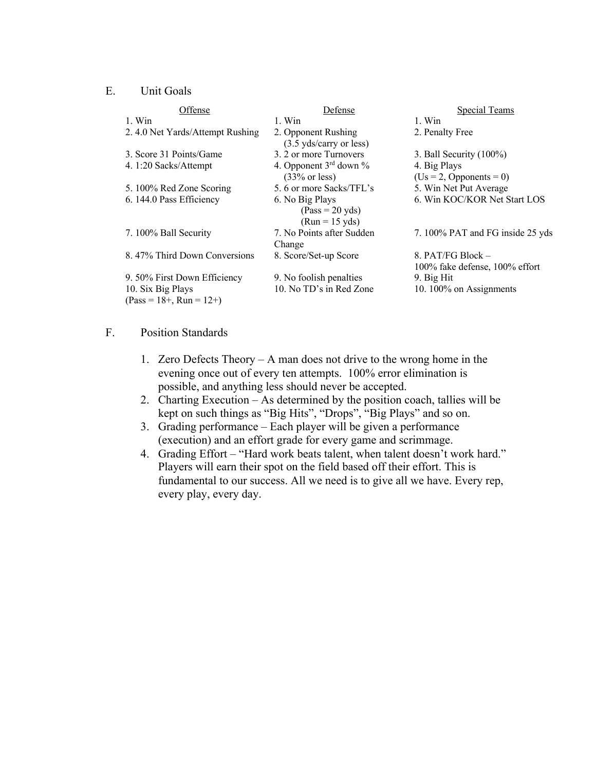## E. Unit Goals

| Offense                         | Defense                                        | Special Teams                                       |  |  |
|---------------------------------|------------------------------------------------|-----------------------------------------------------|--|--|
| 1. Win                          | 1. Win                                         | 1. Win                                              |  |  |
| 2.4.0 Net Yards/Attempt Rushing | 2. Opponent Rushing<br>(3.5 yds/carry or less) | 2. Penalty Free                                     |  |  |
| 3. Score 31 Points/Game         | 3. 2 or more Turnovers                         | 3. Ball Security $(100\%)$                          |  |  |
| 4. 1:20 Sacks/Attempt           | 4. Opponent $3^{rd}$ down %                    | 4. Big Plays                                        |  |  |
|                                 | $(33% \text{ or } \text{less})$                | $(Us = 2, Opponents = 0)$                           |  |  |
| 5.100% Red Zone Scoring         | 5.6 or more Sacks/TFL's                        | 5. Win Net Put Average                              |  |  |
| 6. 144.0 Pass Efficiency        | 6. No Big Plays                                | 6. Win KOC/KOR Net Start LOS                        |  |  |
|                                 | $(Pass = 20 yds)$<br>$(Run = 15 yds)$          |                                                     |  |  |
| 7. 100% Ball Security           | 7. No Points after Sudden<br>Change            | 7. 100% PAT and FG inside 25 yds                    |  |  |
| 8.47% Third Down Conversions    | 8. Score/Set-up Score                          | 8. PAT/FG Block -<br>100% fake defense, 100% effort |  |  |
| 9. 50% First Down Efficiency    | 9. No foolish penalties                        | 9. Big Hit                                          |  |  |
| 10. Six Big Plays               | 10. No TD's in Red Zone                        | 10.100% on Assignments                              |  |  |
| $(Pass = 18 +, Run = 12+)$      |                                                |                                                     |  |  |

## F. Position Standards

- 1. Zero Defects Theory A man does not drive to the wrong home in the evening once out of every ten attempts. 100% error elimination is possible, and anything less should never be accepted.
- 2. Charting Execution As determined by the position coach, tallies will be kept on such things as "Big Hits", "Drops", "Big Plays" and so on.
- 3. Grading performance Each player will be given a performance (execution) and an effort grade for every game and scrimmage.
- 4. Grading Effort "Hard work beats talent, when talent doesn't work hard." Players will earn their spot on the field based off their effort. This is fundamental to our success. All we need is to give all we have. Every rep, every play, every day.